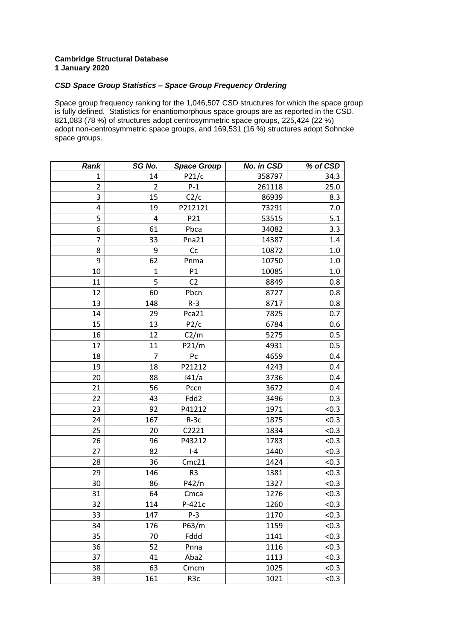## **Cambridge Structural Database January 2020**

## *CSD Space Group Statistics – Space Group Frequency Ordering*

Space group frequency ranking for the 1,046,507 CSD structures for which the space group is fully defined. Statistics for enantiomorphous space groups are as reported in the CSD. 821,083 (78 %) of structures adopt centrosymmetric space groups, 225,424 (22 %) adopt non-centrosymmetric space groups, and 169,531 (16 %) structures adopt Sohncke space groups.

| <b>Rank</b>    | SG No.         | <b>Space Group</b> | No. in CSD | % of CSD |
|----------------|----------------|--------------------|------------|----------|
| 1              | 14             | P21/c              | 358797     | 34.3     |
| $\overline{2}$ | $\overline{2}$ | $P-1$              | 261118     | 25.0     |
| 3              | 15             | C2/c               | 86939      | 8.3      |
| 4              | 19             | P212121            | 73291      | 7.0      |
| 5              | 4              | P21                | 53515      | 5.1      |
| 6              | 61             | Pbca               | 34082      | 3.3      |
| 7              | 33             | Pna21              | 14387      | 1.4      |
| 8              | 9              | Cc                 | 10872      | $1.0\,$  |
| 9              | 62             | Pnma               | 10750      | 1.0      |
| 10             | $\mathbf{1}$   | P1                 | 10085      | $1.0\,$  |
| 11             | 5              | C <sub>2</sub>     | 8849       | 0.8      |
| 12             | 60             | Pbcn               | 8727       | 0.8      |
| 13             | 148            | $R-3$              | 8717       | 0.8      |
| 14             | 29             | Pca21              | 7825       | 0.7      |
| 15             | 13             | P2/c               | 6784       | 0.6      |
| 16             | 12             | C2/m               | 5275       | 0.5      |
| 17             | 11             | P21/m              | 4931       | 0.5      |
| 18             | $\overline{7}$ | Pc                 | 4659       | 0.4      |
| 19             | 18             | P21212             | 4243       | 0.4      |
| 20             | 88             | 141/a              | 3736       | 0.4      |
| 21             | 56             | Pccn               | 3672       | 0.4      |
| 22             | 43             | Fdd2               | 3496       | 0.3      |
| 23             | 92             | P41212             | 1971       | < 0.3    |
| 24             | 167            | $R-3c$             | 1875       | < 0.3    |
| 25             | 20             | C2221              | 1834       | < 0.3    |
| 26             | 96             | P43212             | 1783       | < 0.3    |
| 27             | 82             | $I - 4$            | 1440       | < 0.3    |
| 28             | 36             | Cmc21              | 1424       | < 0.3    |
| 29             | 146            | R <sub>3</sub>     | 1381       | < 0.3    |
| 30             | 86             | P42/n              | 1327       | < 0.3    |
| 31             | 64             | Cmca               | 1276       | < 0.3    |
| 32             | 114            | P-421c             | 1260       | < 0.3    |
| 33             | 147            | $P-3$              | 1170       | < 0.3    |
| 34             | 176            | P63/m              | 1159       | < 0.3    |
| 35             | 70             | Fddd               | 1141       | < 0.3    |
| 36             | 52             | Pnna               | 1116       | < 0.3    |
| 37             | 41             | Aba2               | 1113       | < 0.3    |
| 38             | 63             | Cmcm               | 1025       | < 0.3    |
| 39             | 161            | R <sub>3</sub> c   | 1021       | < 0.3    |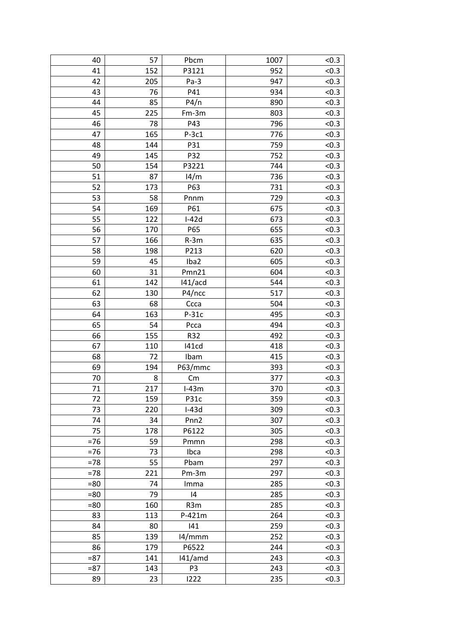| 40     | 57  | Pbcm           | 1007 | < 0.3 |
|--------|-----|----------------|------|-------|
| 41     | 152 | P3121          | 952  | < 0.3 |
| 42     | 205 | $Pa-3$         | 947  | < 0.3 |
| 43     | 76  | P41            | 934  | < 0.3 |
| 44     | 85  | P4/n           | 890  | < 0.3 |
| 45     | 225 | $Fm-3m$        | 803  | < 0.3 |
| 46     | 78  | P43            | 796  | < 0.3 |
| 47     | 165 | $P-3c1$        | 776  | < 0.3 |
| 48     | 144 | P31            | 759  | < 0.3 |
| 49     | 145 | P32            | 752  | < 0.3 |
| 50     | 154 | P3221          | 744  | < 0.3 |
| 51     | 87  | 14/m           | 736  | < 0.3 |
| 52     | 173 | P63            | 731  | < 0.3 |
| 53     | 58  | Pnnm           | 729  | < 0.3 |
| 54     | 169 | P61            | 675  | < 0.3 |
| 55     | 122 | $I-42d$        | 673  | < 0.3 |
| 56     | 170 | P65            | 655  | < 0.3 |
| 57     | 166 | $R-3m$         | 635  | < 0.3 |
| 58     | 198 | P213           | 620  | < 0.3 |
| 59     | 45  | Iba2           | 605  | < 0.3 |
| 60     | 31  | Pmn21          | 604  | < 0.3 |
| 61     | 142 | 141/acd        | 544  | < 0.3 |
| 62     | 130 | P4/ncc         | 517  | < 0.3 |
| 63     | 68  | Ccca           | 504  | < 0.3 |
| 64     | 163 | $P-31c$        | 495  | < 0.3 |
| 65     | 54  | Pcca           | 494  | < 0.3 |
| 66     | 155 | R32            | 492  | < 0.3 |
| 67     | 110 | 141cd          | 418  | < 0.3 |
| 68     | 72  | Ibam           | 415  | < 0.3 |
| 69     | 194 | P63/mmc        | 393  | < 0.3 |
| 70     | 8   | Cm             | 377  | < 0.3 |
| 71     | 217 | $I-43m$        | 370  | < 0.3 |
| 72     | 159 | P31c           | 359  | < 0.3 |
| 73     | 220 | $I-43d$        | 309  | < 0.3 |
| 74     | 34  | Pnn2           | 307  | < 0.3 |
| 75     | 178 | P6122          | 305  | < 0.3 |
| $=76$  | 59  |                | 298  | < 0.3 |
| $= 76$ | 73  | Pmmn<br>Ibca   | 298  | < 0.3 |
| $=78$  | 55  | Pbam           | 297  | < 0.3 |
| $=78$  | 221 | Pm-3m          | 297  | < 0.3 |
|        | 74  |                |      | < 0.3 |
| $= 80$ | 79  | Imma           | 285  |       |
| $= 80$ |     | 14             | 285  | < 0.3 |
| $= 80$ | 160 | R3m            | 285  | < 0.3 |
| 83     | 113 | P-421m         | 264  | < 0.3 |
| 84     | 80  | 141            | 259  | < 0.3 |
| 85     | 139 | 14/mmm         | 252  | < 0.3 |
| 86     | 179 | P6522          | 244  | < 0.3 |
| $= 87$ | 141 | $141/$ amd     | 243  | < 0.3 |
| $= 87$ | 143 | P <sub>3</sub> | 243  | < 0.3 |
| 89     | 23  | 1222           | 235  | < 0.3 |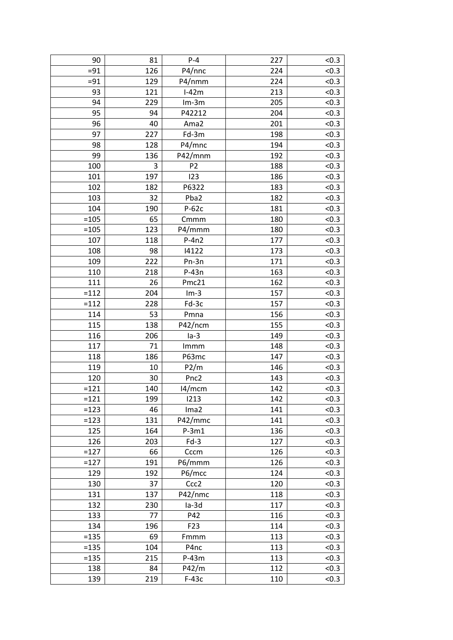| 90            | 81          | $P - 4$            | 227 | < 0.3 |
|---------------|-------------|--------------------|-----|-------|
| $= 91$        | 126         | P4/nnc             | 224 | < 0.3 |
| $= 91$        | 129         | P4/nmm             | 224 | < 0.3 |
| 93            | 121         | $I-42m$            | 213 | < 0.3 |
| 94            | 229         | $Im-3m$            | 205 | < 0.3 |
| 95            | 94          | P42212             | 204 | < 0.3 |
| 96            | 40          | Ama2               | 201 | < 0.3 |
| 97            | 227         | Fd-3m              | 198 | < 0.3 |
| 98            | 128         | P4/mnc             | 194 | < 0.3 |
| 99            | 136         | P42/mnm            | 192 | < 0.3 |
| 100           | $\mathsf 3$ | P <sub>2</sub>     | 188 | < 0.3 |
| 101           | 197         | 123                | 186 | < 0.3 |
| 102           | 182         | P6322              | 183 | < 0.3 |
| 103           | 32          | Pba2               | 182 | < 0.3 |
| 104           | 190         | $P-62c$            | 181 | < 0.3 |
| $=105$        | 65          | Cmmm               | 180 | < 0.3 |
| $=105$        | 123         | P4/mmm             | 180 | < 0.3 |
| 107           | 118         | $P-4n2$            | 177 | < 0.3 |
| 108           | 98          | 14122              | 173 | < 0.3 |
| 109           | 222         | Pn-3n              | 171 | < 0.3 |
| 110           | 218         | $P-43n$            | 163 | <0.3  |
| 111           | 26          | Pmc21              | 162 | < 0.3 |
| $=112$        | 204         | $Im-3$             | 157 | < 0.3 |
| $=112$        | 228         | Fd-3c              | 157 | < 0.3 |
| 114           | 53          | Pmna               | 156 | < 0.3 |
| 115           | 138         | P42/ncm            | 155 | < 0.3 |
| 116           | 206         | $1a-3$             | 149 | < 0.3 |
| 117           | 71          | Immm               | 148 | < 0.3 |
| 118           | 186         | P63mc              | 147 | < 0.3 |
| 119           | 10          | P2/m               | 146 | < 0.3 |
| 120           | 30          | Pnc <sub>2</sub>   | 143 | < 0.3 |
| $=121$        | 140         | 14/mcm             | 142 | < 0.3 |
| $=121$        | 199         | 1213               | 142 | < 0.3 |
| $=123$        | 46          | Ima2               | 141 | < 0.3 |
|               |             |                    |     |       |
| $=123$<br>125 | 131         | P42/mmc<br>$P-3m1$ | 141 | < 0.3 |
|               | 164         |                    | 136 | < 0.3 |
| 126           | 203         | $Fd-3$             | 127 | < 0.3 |
| $=127$        | 66          | Cccm               | 126 | < 0.3 |
| $=127$        | 191         | P6/mmm             | 126 | < 0.3 |
| 129           | 192         | P6/mcc             | 124 | < 0.3 |
| 130           | 37          | Ccc <sub>2</sub>   | 120 | < 0.3 |
| 131           | 137         | P42/nmc            | 118 | < 0.3 |
| 132           | 230         | $Ia-3d$            | 117 | < 0.3 |
| 133           | 77          | P42                | 116 | < 0.3 |
| 134           | 196         | F <sub>23</sub>    | 114 | < 0.3 |
| $= 135$       | 69          | Fmmm               | 113 | < 0.3 |
| $= 135$       | 104         | P4nc               | 113 | < 0.3 |
| $= 135$       | 215         | $P-43m$            | 113 | < 0.3 |
| 138           | 84          | P42/m              | 112 | < 0.3 |
| 139           | 219         | $F-43c$            | 110 | < 0.3 |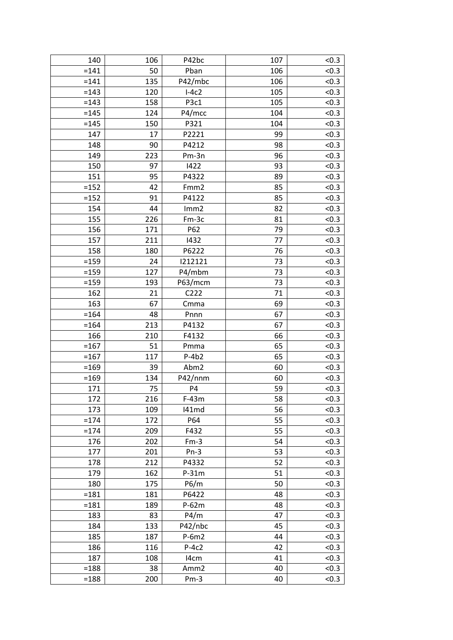| 140     | 106 | P42bc             | 107 | < 0.3 |
|---------|-----|-------------------|-----|-------|
| $=141$  | 50  | Pban              | 106 | < 0.3 |
| $=141$  | 135 | P42/mbc           | 106 | < 0.3 |
| $=143$  | 120 | $I-4c2$           | 105 | < 0.3 |
| $= 143$ | 158 | P <sub>3</sub> c1 | 105 | < 0.3 |
| $=145$  | 124 | P4/mcc            | 104 | < 0.3 |
| $=145$  | 150 | P321              | 104 | < 0.3 |
| 147     | 17  | P2221             | 99  | < 0.3 |
| 148     | 90  | P4212             | 98  | < 0.3 |
| 149     | 223 | Pm-3n             | 96  | < 0.3 |
| 150     | 97  | 1422              | 93  | < 0.3 |
| 151     | 95  | P4322             | 89  | < 0.3 |
| $=152$  | 42  | Fmm <sub>2</sub>  | 85  | < 0.3 |
| $=152$  | 91  | P4122             | 85  | < 0.3 |
| 154     | 44  | Imm2              | 82  | < 0.3 |
| 155     | 226 | Fm-3c             | 81  | < 0.3 |
| 156     | 171 | P62               | 79  | < 0.3 |
| 157     | 211 | 1432              | 77  | < 0.3 |
| 158     | 180 | P6222             | 76  | < 0.3 |
| $=159$  | 24  | 1212121           | 73  | < 0.3 |
| $= 159$ | 127 | P4/mbm            | 73  | < 0.3 |
| $= 159$ | 193 | P63/mcm           | 73  | < 0.3 |
| 162     | 21  | C222              | 71  | < 0.3 |
| 163     | 67  | Cmma              | 69  | < 0.3 |
| $= 164$ | 48  | Pnnn              | 67  | < 0.3 |
| $= 164$ | 213 | P4132             | 67  | < 0.3 |
| 166     | 210 | F4132             | 66  | < 0.3 |
| $=167$  | 51  | Pmma              | 65  | < 0.3 |
| $=167$  | 117 | $P-4b2$           | 65  | < 0.3 |
| $=169$  | 39  | Abm2              | 60  | < 0.3 |
| $=169$  | 134 | P42/nnm           | 60  | < 0.3 |
| 171     | 75  | P4                | 59  | < 0.3 |
| 172     | 216 | $F-43m$           | 58  | < 0.3 |
| 173     | 109 | 141md             | 56  | < 0.3 |
| $= 174$ | 172 | P64               | 55  | < 0.3 |
| $= 174$ | 209 | F432              | 55  | < 0.3 |
| 176     | 202 | $Fm-3$            | 54  | < 0.3 |
| 177     | 201 | $Pn-3$            | 53  | < 0.3 |
| 178     | 212 | P4332             | 52  | < 0.3 |
| 179     | 162 | $P-31m$           | 51  | < 0.3 |
| 180     | 175 | P6/m              | 50  | < 0.3 |
| $=181$  | 181 | P6422             | 48  | < 0.3 |
| $=181$  | 189 | $P-62m$           | 48  | < 0.3 |
| 183     | 83  | P4/m              | 47  | < 0.3 |
| 184     | 133 | P42/nbc           | 45  | < 0.3 |
| 185     | 187 | $P-6m2$           | 44  | < 0.3 |
| 186     | 116 | $P-4c2$           | 42  | < 0.3 |
| 187     | 108 | 14 <sub>cm</sub>  | 41  | < 0.3 |
| $=188$  | 38  | Amm <sub>2</sub>  | 40  | < 0.3 |
| $=188$  | 200 | $Pm-3$            | 40  | < 0.3 |